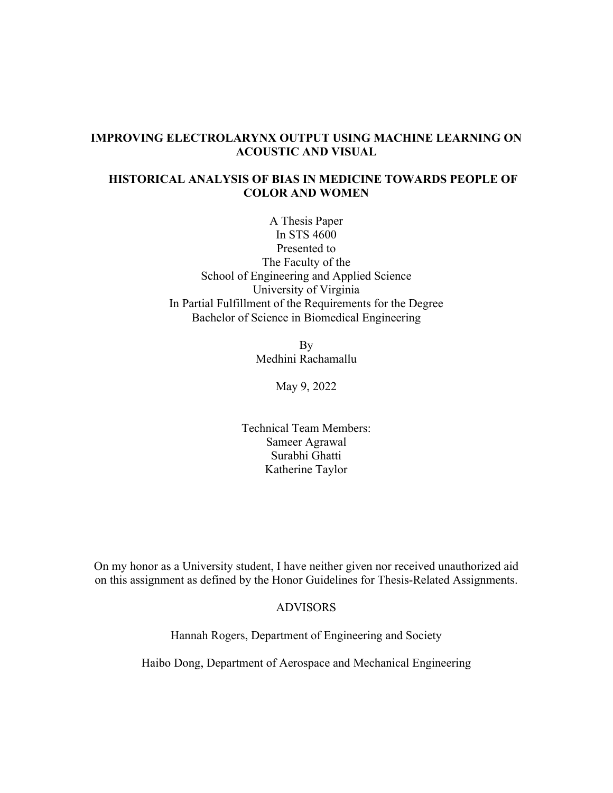# **IMPROVING ELECTROLARYNX OUTPUT USING MACHINE LEARNING ON ACOUSTIC AND VISUAL**

# **HISTORICAL ANALYSIS OF BIAS IN MEDICINE TOWARDS PEOPLE OF COLOR AND WOMEN**

A Thesis Paper In STS 4600 Presented to The Faculty of the School of Engineering and Applied Science University of Virginia In Partial Fulfillment of the Requirements for the Degree Bachelor of Science in Biomedical Engineering

> By Medhini Rachamallu

> > May 9, 2022

Technical Team Members: Sameer Agrawal Surabhi Ghatti Katherine Taylor

On my honor as a University student, I have neither given nor received unauthorized aid on this assignment as defined by the Honor Guidelines for Thesis-Related Assignments.

### ADVISORS

Hannah Rogers, Department of Engineering and Society

Haibo Dong, Department of Aerospace and Mechanical Engineering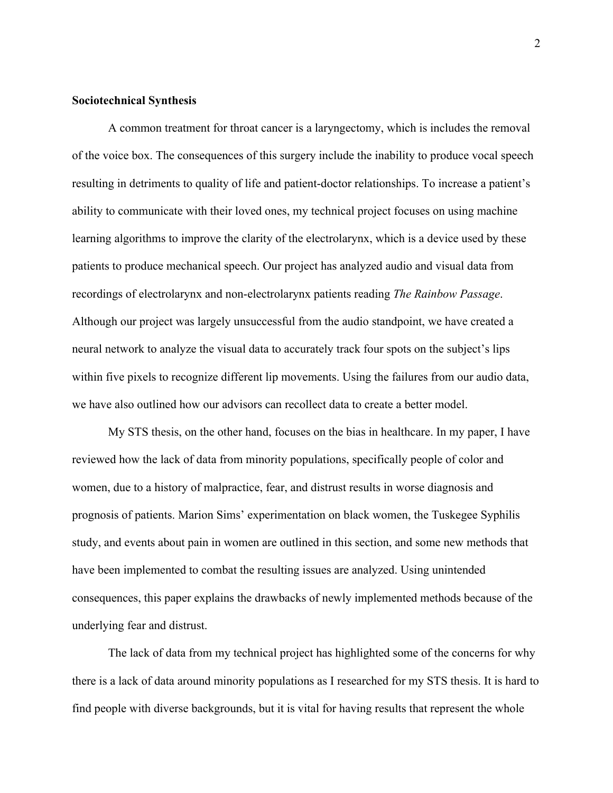#### **Sociotechnical Synthesis**

A common treatment for throat cancer is a laryngectomy, which is includes the removal of the voice box. The consequences of this surgery include the inability to produce vocal speech resulting in detriments to quality of life and patient-doctor relationships. To increase a patient's ability to communicate with their loved ones, my technical project focuses on using machine learning algorithms to improve the clarity of the electrolarynx, which is a device used by these patients to produce mechanical speech. Our project has analyzed audio and visual data from recordings of electrolarynx and non-electrolarynx patients reading *The Rainbow Passage*. Although our project was largely unsuccessful from the audio standpoint, we have created a neural network to analyze the visual data to accurately track four spots on the subject's lips within five pixels to recognize different lip movements. Using the failures from our audio data, we have also outlined how our advisors can recollect data to create a better model.

My STS thesis, on the other hand, focuses on the bias in healthcare. In my paper, I have reviewed how the lack of data from minority populations, specifically people of color and women, due to a history of malpractice, fear, and distrust results in worse diagnosis and prognosis of patients. Marion Sims' experimentation on black women, the Tuskegee Syphilis study, and events about pain in women are outlined in this section, and some new methods that have been implemented to combat the resulting issues are analyzed. Using unintended consequences, this paper explains the drawbacks of newly implemented methods because of the underlying fear and distrust.

The lack of data from my technical project has highlighted some of the concerns for why there is a lack of data around minority populations as I researched for my STS thesis. It is hard to find people with diverse backgrounds, but it is vital for having results that represent the whole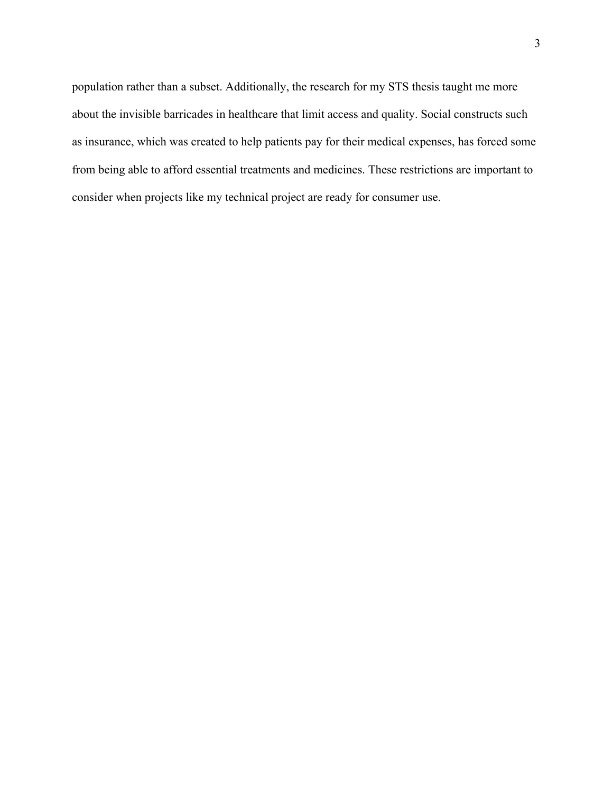population rather than a subset. Additionally, the research for my STS thesis taught me more about the invisible barricades in healthcare that limit access and quality. Social constructs such as insurance, which was created to help patients pay for their medical expenses, has forced some from being able to afford essential treatments and medicines. These restrictions are important to consider when projects like my technical project are ready for consumer use.